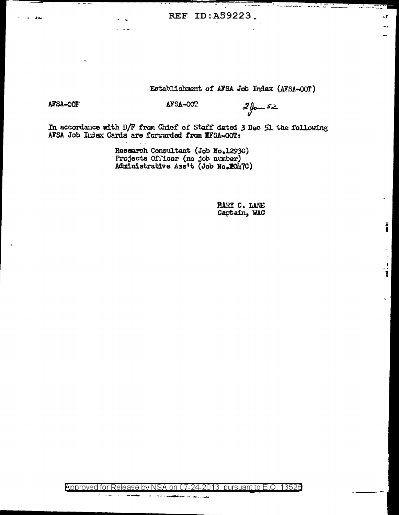REF ID:A59223.

## Establishment of AFSA Job Index (AFSA-OOT)

$$
\texttt{100-ATE}
$$

AFSA-OOF

 $z_{\ell}$ 

\* ..  $\bullet$ 

L T

İ

 $\mathbf{r}$  $\frac{1}{2}$ 1

In accordance with D/F from Chief of Staff dated 3 Dec 51 the following AFSA Job Index Cards are forwarded from IFSA-00T:

Research Consultant (Job No.1293C)<br>Projects Officer (no job number)<br>Administrative Ass't (Job No.2047C)

MARY C. LANE Captain, WAC

**Approved for Release by NSA on 07-24-**13526 2013 pursuant to E.O.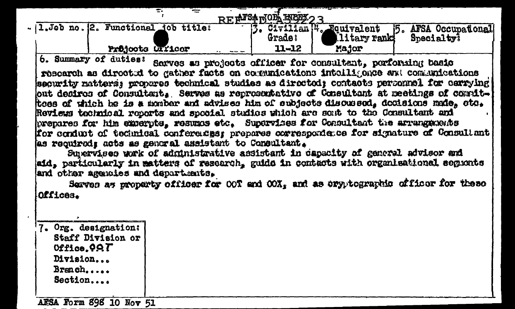|                                        |                  |  |                   | <b>BF AFSAROL REEL ?</b> |                                     |                      |  |
|----------------------------------------|------------------|--|-------------------|--------------------------|-------------------------------------|----------------------|--|
| - 1. Job no. (2. Functional job title: |                  |  |                   |                          | Civilian <sup>14</sup> . Equivalent | 5. AFSA Occupational |  |
|                                        |                  |  |                   | Grade:                   | <b>Ilitary rank</b>                 | Specialty?           |  |
|                                        | Prüjoots UII1cer |  | <b>Barbar Man</b> | 11-12                    | Major                               |                      |  |

6. Summary of duties: Sarves as projects officer for consultant, porforming basic research as directed to gather facts on comunications intelligence and communications security matters; propares technical studies as directed; contacts personnel for carrying out desires of Consultant, Serves as representative of Consultant at meetings of counittoes of which he is a monber and advises him of subjects discussed, decisions made, oto, Reviews technical reports and special studies which are sent to the Consultant and prepares for him experpts, resumes etc. Supervises for Consultant the arrangements for conduct of technical conferences; prepares correspondence for signature of Consultant as required; acts as general assistant to Consultant.

Supervises work of administrative assistant in capacity of general advisor and aid, particularly in matters of research, guide in contacts with organisational segments and other agencies and departments.

Serves as property officer for OOT and OOX, and as eryptographic officer for these Offices.

| Org. designation: |
|-------------------|
| Staff Division or |
| Office.997        |
| Division          |
| Branch            |
| Section           |
|                   |

AFSA Form 898 10 Nov 51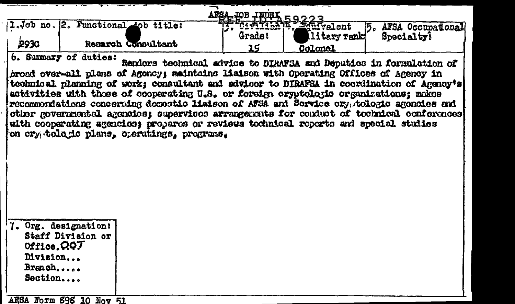| ,2930 | 1.Job no. 2. Functional sob title:                                                                                     | Recarch Consultant                                                                                                                                                                                                                                                                                                   | AFSA JOB INDEX 59223<br>Grade:<br>15 | litary rank<br>Colonal | 5. AFSA Occupational<br>Specialty?                                                                                                                                                                                                                                                                                                                       |
|-------|------------------------------------------------------------------------------------------------------------------------|----------------------------------------------------------------------------------------------------------------------------------------------------------------------------------------------------------------------------------------------------------------------------------------------------------------------|--------------------------------------|------------------------|----------------------------------------------------------------------------------------------------------------------------------------------------------------------------------------------------------------------------------------------------------------------------------------------------------------------------------------------------------|
|       | 6. Summary of duties:                                                                                                  | broad over-all plans of Agency; maintains liaison with Operating Offices of Agency in<br>activities with those of cooperating U.S. or foreign cryptologic organizations; makes<br>with cooperating agencies; propares or reviews tochnical reports and special studies<br>on cry tologic plans, creatings, programs, |                                      |                        | Renders technical advice to DIRAFSA and Deputies in formulation of<br>technical planning of work; consultant and advisor to DIRAFSA in coordination of Agency's<br>recommondations concerning demostic liaison of AFSA and Service oryptologic agencies and<br>other governmental agencies; supervises arrangements for conduct of technical conferences |
|       | 7. Org. designation:<br>Staff Division or<br>Office. $QQT$<br>Division<br>Branch<br>Section<br>AESA Form 898 10 Nov 51 |                                                                                                                                                                                                                                                                                                                      |                                      |                        |                                                                                                                                                                                                                                                                                                                                                          |